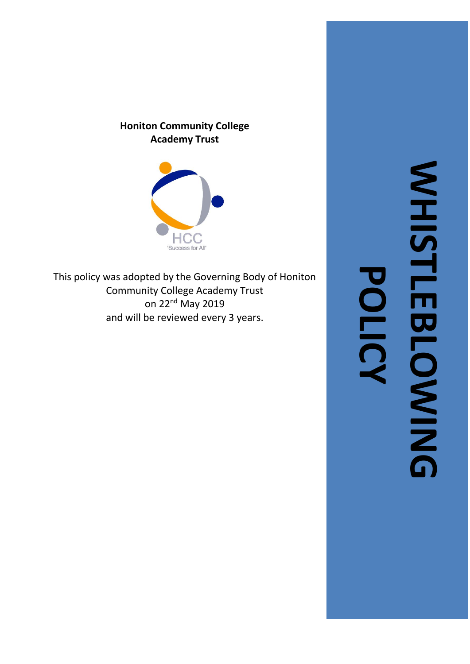# **Honiton Community College Academy Trust**



This policy was adopted by the Governing Body of Honiton Community College Academy Trust on 22<sup>nd</sup> May 2019 and will be reviewed every 3 years.

**WHISTLEBLOWING WHISTLEBLOWING POLICY**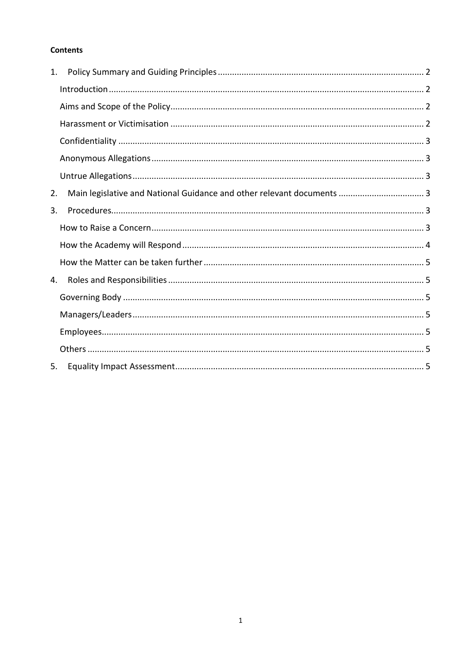## **Contents**

| 1. |  |
|----|--|
|    |  |
|    |  |
|    |  |
|    |  |
|    |  |
|    |  |
| 2. |  |
| 3. |  |
|    |  |
|    |  |
|    |  |
| 4. |  |
|    |  |
|    |  |
|    |  |
|    |  |
| 5. |  |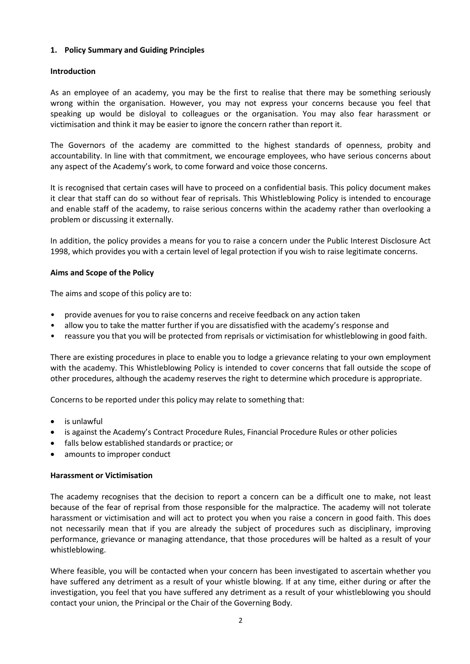## <span id="page-2-4"></span><span id="page-2-0"></span>**1. Policy Summary and Guiding Principles**

## <span id="page-2-1"></span>**Introduction**

As an employee of an academy, you may be the first to realise that there may be something seriously wrong within the organisation. However, you may not express your concerns because you feel that speaking up would be disloyal to colleagues or the organisation. You may also fear harassment or victimisation and think it may be easier to ignore the concern rather than report it.

The Governors of the academy are committed to the highest standards of openness, probity and accountability. In line with that commitment, we encourage employees, who have serious concerns about any aspect of the Academy's work, to come forward and voice those concerns.

It is recognised that certain cases will have to proceed on a confidential basis. This policy document makes it clear that staff can do so without fear of reprisals. This Whistleblowing Policy is intended to encourage and enable staff of the academy, to raise serious concerns within the academy rather than overlooking a problem or discussing it externally.

In addition, the policy provides a means for you to raise a concern under the Public Interest Disclosure Act 1998, which provides you with a certain level of legal protection if you wish to raise legitimate concerns.

#### <span id="page-2-2"></span>**Aims and Scope of the Policy**

The aims and scope of this policy are to:

- provide avenues for you to raise concerns and receive feedback on any action taken
- allow you to take the matter further if you are dissatisfied with the academy's response and
- reassure you that you will be protected from reprisals or victimisation for whistleblowing in good faith.

There are existing procedures in place to enable you to lodge a grievance relating to your own employment with the academy. This Whistleblowing Policy is intended to cover concerns that fall outside the scope of other procedures, although the academy reserves the right to determine which procedure is appropriate.

Concerns to be reported under this policy may relate to something that:

- is unlawful
- is against the Academy's Contract Procedure Rules, Financial Procedure Rules or other policies
- falls below established standards or practice; or
- amounts to improper conduct

#### <span id="page-2-3"></span>**Harassment or Victimisation**

The academy recognises that the decision to report a concern can be a difficult one to make, not least because of the fear of reprisal from those responsible for the malpractice. The academy will not tolerate harassment or victimisation and will act to protect you when you raise a concern in good faith. This does not necessarily mean that if you are already the subject of procedures such as disciplinary, improving performance, grievance or managing attendance, that those procedures will be halted as a result of your whistleblowing.

Where feasible, you will be contacted when your concern has been investigated to ascertain whether you have suffered any detriment as a result of your whistle blowing. If at any time, either during or after the investigation, you feel that you have suffered any detriment as a result of your whistleblowing you should contact your union, the Principal or the Chair of the Governing Body.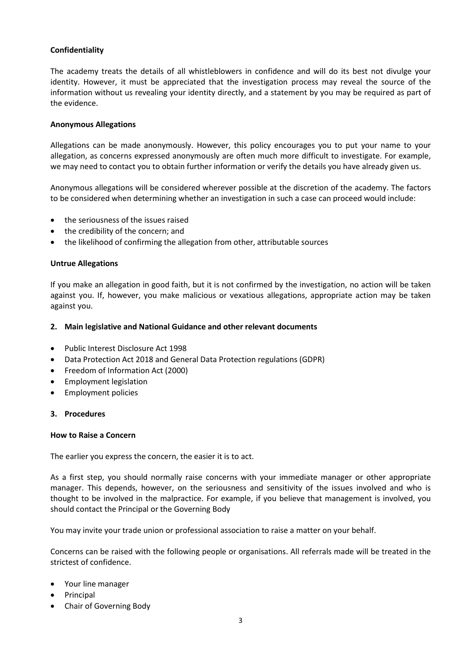## **Confidentiality**

The academy treats the details of all whistleblowers in confidence and will do its best not divulge your identity. However, it must be appreciated that the investigation process may reveal the source of the information without us revealing your identity directly, and a statement by you may be required as part of the evidence.

#### <span id="page-3-0"></span>**Anonymous Allegations**

Allegations can be made anonymously. However, this policy encourages you to put your name to your allegation, as concerns expressed anonymously are often much more difficult to investigate. For example, we may need to contact you to obtain further information or verify the details you have already given us.

Anonymous allegations will be considered wherever possible at the discretion of the academy. The factors to be considered when determining whether an investigation in such a case can proceed would include:

- the seriousness of the issues raised
- the credibility of the concern; and
- the likelihood of confirming the allegation from other, attributable sources

#### <span id="page-3-1"></span>**Untrue Allegations**

If you make an allegation in good faith, but it is not confirmed by the investigation, no action will be taken against you. If, however, you make malicious or vexatious allegations, appropriate action may be taken against you.

#### <span id="page-3-2"></span>**2. Main legislative and National Guidance and other relevant documents**

- Public Interest Disclosure Act 1998
- Data Protection Act 2018 and General Data Protection regulations (GDPR)
- Freedom of Information Act (2000)
- Employment legislation
- Employment policies

#### <span id="page-3-3"></span>**3. Procedures**

#### <span id="page-3-4"></span>**How to Raise a Concern**

The earlier you express the concern, the easier it is to act.

As a first step, you should normally raise concerns with your immediate manager or other appropriate manager. This depends, however, on the seriousness and sensitivity of the issues involved and who is thought to be involved in the malpractice. For example, if you believe that management is involved, you should contact the Principal or the Governing Body

You may invite your trade union or professional association to raise a matter on your behalf.

Concerns can be raised with the following people or organisations. All referrals made will be treated in the strictest of confidence.

- Your line manager
- **Principal**
- Chair of Governing Body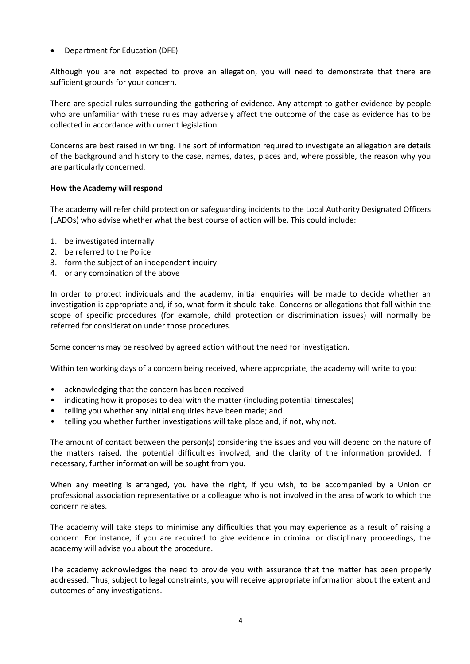## <span id="page-4-1"></span>• Department for Education (DFE)

Although you are not expected to prove an allegation, you will need to demonstrate that there are sufficient grounds for your concern.

There are special rules surrounding the gathering of evidence. Any attempt to gather evidence by people who are unfamiliar with these rules may adversely affect the outcome of the case as evidence has to be collected in accordance with current legislation.

Concerns are best raised in writing. The sort of information required to investigate an allegation are details of the background and history to the case, names, dates, places and, where possible, the reason why you are particularly concerned.

## <span id="page-4-0"></span>**How the Academy will respond**

The academy will refer child protection or safeguarding incidents to the Local Authority Designated Officers (LADOs) who advise whether what the best course of action will be. This could include:

- 1. be investigated internally
- 2. be referred to the Police
- 3. form the subject of an independent inquiry
- 4. or any combination of the above

In order to protect individuals and the academy, initial enquiries will be made to decide whether an investigation is appropriate and, if so, what form it should take. Concerns or allegations that fall within the scope of specific procedures (for example, child protection or discrimination issues) will normally be referred for consideration under those procedures.

Some concerns may be resolved by agreed action without the need for investigation.

Within ten working days of a concern being received, where appropriate, the academy will write to you:

- acknowledging that the concern has been received
- indicating how it proposes to deal with the matter (including potential timescales)
- telling you whether any initial enquiries have been made; and
- telling you whether further investigations will take place and, if not, why not.

The amount of contact between the person(s) considering the issues and you will depend on the nature of the matters raised, the potential difficulties involved, and the clarity of the information provided. If necessary, further information will be sought from you.

When any meeting is arranged, you have the right, if you wish, to be accompanied by a Union or professional association representative or a colleague who is not involved in the area of work to which the concern relates.

The academy will take steps to minimise any difficulties that you may experience as a result of raising a concern. For instance, if you are required to give evidence in criminal or disciplinary proceedings, the academy will advise you about the procedure.

The academy acknowledges the need to provide you with assurance that the matter has been properly addressed. Thus, subject to legal constraints, you will receive appropriate information about the extent and outcomes of any investigations.